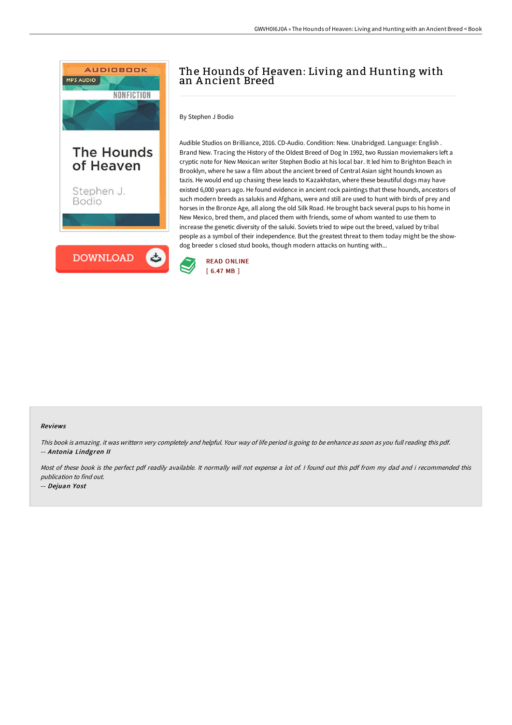

# The Hounds of Heaven: Living and Hunting with an A ncient Breed

By Stephen J Bodio

Audible Studios on Brilliance, 2016. CD-Audio. Condition: New. Unabridged. Language: English . Brand New. Tracing the History of the Oldest Breed of Dog In 1992, two Russian moviemakers left a cryptic note for New Mexican writer Stephen Bodio at his local bar. It led him to Brighton Beach in Brooklyn, where he saw a film about the ancient breed of Central Asian sight hounds known as tazis. He would end up chasing these leads to Kazakhstan, where these beautiful dogs may have existed 6,000 years ago. He found evidence in ancient rock paintings that these hounds, ancestors of such modern breeds as salukis and Afghans, were and still are used to hunt with birds of prey and horses in the Bronze Age, all along the old Silk Road. He brought back several pups to his home in New Mexico, bred them, and placed them with friends, some of whom wanted to use them to increase the genetic diversity of the saluki. Soviets tried to wipe out the breed, valued by tribal people as a symbol of their independence. But the greatest threat to them today might be the showdog breeder s closed stud books, though modern attacks on hunting with...



#### Reviews

This book is amazing. it was writtern very completely and helpful. Your way of life period is going to be enhance as soon as you full reading this pdf. -- Antonia Lindgren II

Most of these book is the perfect pdf readily available. It normally will not expense <sup>a</sup> lot of. I found out this pdf from my dad and i recommended this publication to find out.

-- Dejuan Yost